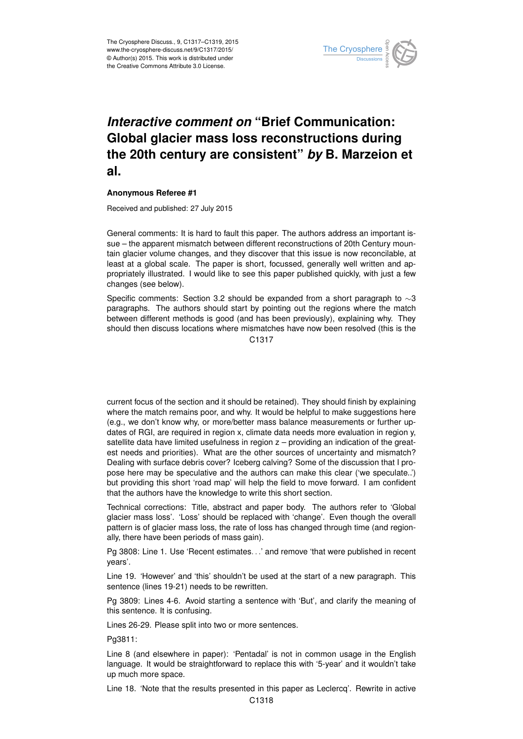

## *Interactive comment on* **"Brief Communication: Global glacier mass loss reconstructions during the 20th century are consistent"** *by* **B. Marzeion et al.**

## **Anonymous Referee #1**

Received and published: 27 July 2015

General comments: It is hard to fault this paper. The authors address an important issue – the apparent mismatch between different reconstructions of 20th Century mountain glacier volume changes, and they discover that this issue is now reconcilable, at least at a global scale. The paper is short, focussed, generally well written and appropriately illustrated. I would like to see this paper published quickly, with just a few changes (see below).

Specific comments: Section 3.2 should be expanded from a short paragraph to  $\sim$ 3 paragraphs. The authors should start by pointing out the regions where the match between different methods is good (and has been previously), explaining why. They should then discuss locations where mismatches have now been resolved (this is the C1317

current focus of the section and it should be retained). They should finish by explaining where the match remains poor, and why. It would be helpful to make suggestions here (e.g., we don't know why, or more/better mass balance measurements or further updates of RGI, are required in region x, climate data needs more evaluation in region y, satellite data have limited usefulness in region z – providing an indication of the greatest needs and priorities). What are the other sources of uncertainty and mismatch? Dealing with surface debris cover? Iceberg calving? Some of the discussion that I propose here may be speculative and the authors can make this clear ('we speculate..') but providing this short 'road map' will help the field to move forward. I am confident that the authors have the knowledge to write this short section.

Technical corrections: Title, abstract and paper body. The authors refer to 'Global glacier mass loss'. 'Loss' should be replaced with 'change'. Even though the overall pattern is of glacier mass loss, the rate of loss has changed through time (and regionally, there have been periods of mass gain).

Pg 3808: Line 1. Use 'Recent estimates. . .' and remove 'that were published in recent years'.

Line 19. 'However' and 'this' shouldn't be used at the start of a new paragraph. This sentence (lines 19-21) needs to be rewritten.

Pg 3809: Lines 4-6. Avoid starting a sentence with 'But', and clarify the meaning of this sentence. It is confusing.

Lines 26-29. Please split into two or more sentences.

Pg3811:

Line 8 (and elsewhere in paper): 'Pentadal' is not in common usage in the English language. It would be straightforward to replace this with '5-year' and it wouldn't take up much more space.

Line 18. 'Note that the results presented in this paper as Leclercq'. Rewrite in active